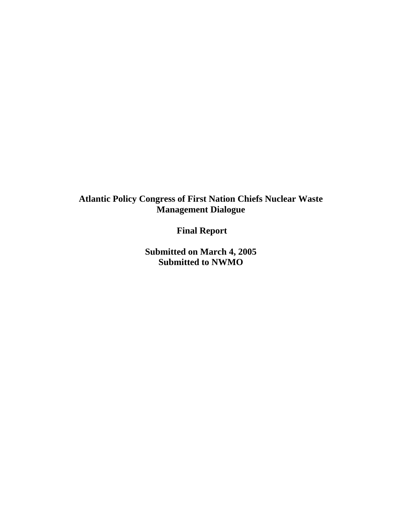#### **Atlantic Policy Congress of First Nation Chiefs Nuclear Waste Management Dialogue**

 **Final Report** 

**Submitted on March 4, 2005 Submitted to NWMO**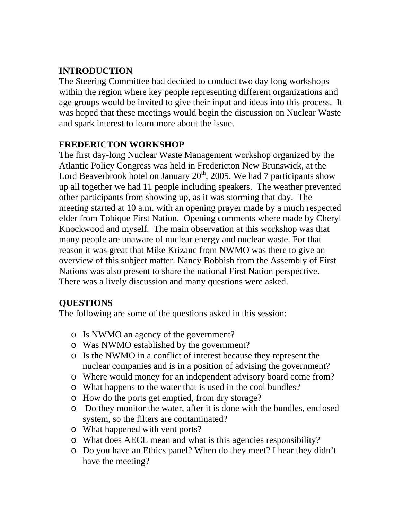#### **INTRODUCTION**

The Steering Committee had decided to conduct two day long workshops within the region where key people representing different organizations and age groups would be invited to give their input and ideas into this process. It was hoped that these meetings would begin the discussion on Nuclear Waste and spark interest to learn more about the issue.

#### **FREDERICTON WORKSHOP**

The first day-long Nuclear Waste Management workshop organized by the Atlantic Policy Congress was held in Fredericton New Brunswick, at the Lord Beaverbrook hotel on January  $20<sup>th</sup>$ , 2005. We had 7 participants show up all together we had 11 people including speakers. The weather prevented other participants from showing up, as it was storming that day. The meeting started at 10 a.m. with an opening prayer made by a much respected elder from Tobique First Nation. Opening comments where made by Cheryl Knockwood and myself. The main observation at this workshop was that many people are unaware of nuclear energy and nuclear waste. For that reason it was great that Mike Krizanc from NWMO was there to give an overview of this subject matter. Nancy Bobbish from the Assembly of First Nations was also present to share the national First Nation perspective. There was a lively discussion and many questions were asked.

#### **QUESTIONS**

The following are some of the questions asked in this session:

- o Is NWMO an agency of the government?
- o Was NWMO established by the government?
- o Is the NWMO in a conflict of interest because they represent the nuclear companies and is in a position of advising the government?
- o Where would money for an independent advisory board come from?
- o What happens to the water that is used in the cool bundles?
- o How do the ports get emptied, from dry storage?
- o Do they monitor the water, after it is done with the bundles, enclosed system, so the filters are contaminated?
- o What happened with vent ports?
- o What does AECL mean and what is this agencies responsibility?
- o Do you have an Ethics panel? When do they meet? I hear they didn't have the meeting?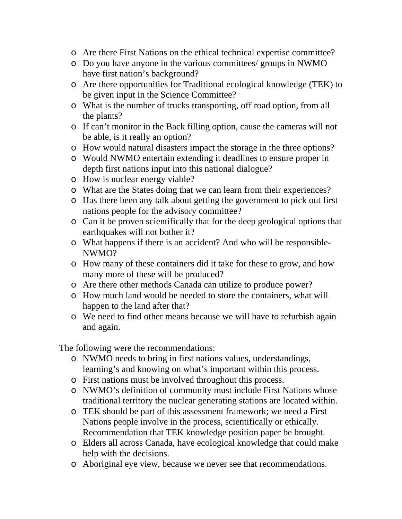- o Are there First Nations on the ethical technical expertise committee?
- o Do you have anyone in the various committees/ groups in NWMO have first nation's background?
- o Are there opportunities for Traditional ecological knowledge (TEK) to be given input in the Science Committee?
- o What is the number of trucks transporting, off road option, from all the plants?
- o If can't monitor in the Back filling option, cause the cameras will not be able, is it really an option?
- o How would natural disasters impact the storage in the three options?
- o Would NWMO entertain extending it deadlines to ensure proper in depth first nations input into this national dialogue?
- o How is nuclear energy viable?
- o What are the States doing that we can learn from their experiences?
- o Has there been any talk about getting the government to pick out first nations people for the advisory committee?
- o Can it be proven scientifically that for the deep geological options that earthquakes will not bother it?
- o What happens if there is an accident? And who will be responsible-NWMO?
- o How many of these containers did it take for these to grow, and how many more of these will be produced?
- o Are there other methods Canada can utilize to produce power?
- o How much land would be needed to store the containers, what will happen to the land after that?
- o We need to find other means because we will have to refurbish again and again.

The following were the recommendations:

- o NWMO needs to bring in first nations values, understandings, learning's and knowing on what's important within this process.
- o First nations must be involved throughout this process.
- o NWMO's definition of community must include First Nations whose traditional territory the nuclear generating stations are located within.
- o TEK should be part of this assessment framework; we need a First Nations people involve in the process, scientifically or ethically. Recommendation that TEK knowledge position paper be brought.
- o Elders all across Canada, have ecological knowledge that could make help with the decisions.
- o Aboriginal eye view, because we never see that recommendations.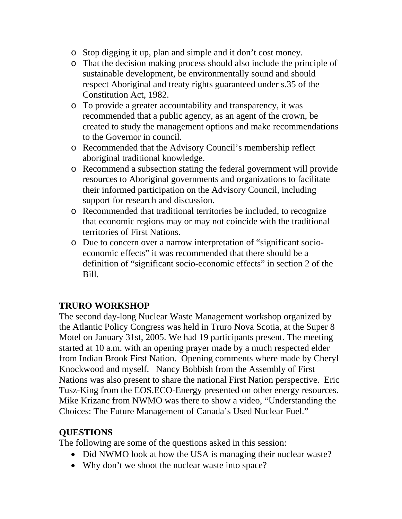- o Stop digging it up, plan and simple and it don't cost money.
- o That the decision making process should also include the principle of sustainable development, be environmentally sound and should respect Aboriginal and treaty rights guaranteed under s.35 of the Constitution Act, 1982.
- o To provide a greater accountability and transparency, it was recommended that a public agency, as an agent of the crown, be created to study the management options and make recommendations to the Governor in council.
- o Recommended that the Advisory Council's membership reflect aboriginal traditional knowledge.
- o Recommend a subsection stating the federal government will provide resources to Aboriginal governments and organizations to facilitate their informed participation on the Advisory Council, including support for research and discussion.
- o Recommended that traditional territories be included, to recognize that economic regions may or may not coincide with the traditional territories of First Nations.
- o Due to concern over a narrow interpretation of "significant socioeconomic effects" it was recommended that there should be a definition of "significant socio-economic effects" in section 2 of the Bill.

### **TRURO WORKSHOP**

The second day-long Nuclear Waste Management workshop organized by the Atlantic Policy Congress was held in Truro Nova Scotia, at the Super 8 Motel on January 31st, 2005. We had 19 participants present. The meeting started at 10 a.m. with an opening prayer made by a much respected elder from Indian Brook First Nation. Opening comments where made by Cheryl Knockwood and myself. Nancy Bobbish from the Assembly of First Nations was also present to share the national First Nation perspective. Eric Tusz-King from the EOS.ECO-Energy presented on other energy resources. Mike Krizanc from NWMO was there to show a video, "Understanding the Choices: The Future Management of Canada's Used Nuclear Fuel."

#### **QUESTIONS**

The following are some of the questions asked in this session:

- Did NWMO look at how the USA is managing their nuclear waste?
- Why don't we shoot the nuclear waste into space?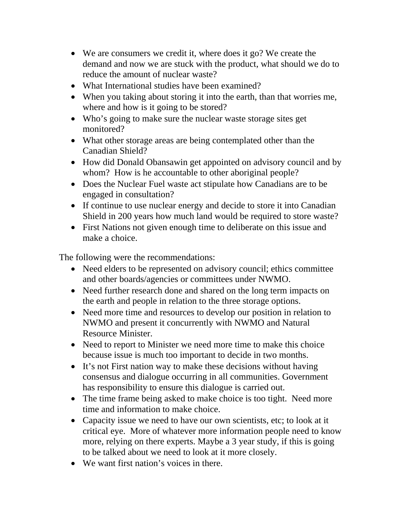- We are consumers we credit it, where does it go? We create the demand and now we are stuck with the product, what should we do to reduce the amount of nuclear waste?
- What International studies have been examined?
- When you taking about storing it into the earth, than that worries me, where and how is it going to be stored?
- Who's going to make sure the nuclear waste storage sites get monitored?
- What other storage areas are being contemplated other than the Canadian Shield?
- How did Donald Obansawin get appointed on advisory council and by whom? How is he accountable to other aboriginal people?
- Does the Nuclear Fuel waste act stipulate how Canadians are to be engaged in consultation?
- If continue to use nuclear energy and decide to store it into Canadian Shield in 200 years how much land would be required to store waste?
- First Nations not given enough time to deliberate on this issue and make a choice.

The following were the recommendations:

- Need elders to be represented on advisory council; ethics committee and other boards/agencies or committees under NWMO.
- Need further research done and shared on the long term impacts on the earth and people in relation to the three storage options.
- Need more time and resources to develop our position in relation to NWMO and present it concurrently with NWMO and Natural Resource Minister.
- Need to report to Minister we need more time to make this choice because issue is much too important to decide in two months.
- It's not First nation way to make these decisions without having consensus and dialogue occurring in all communities. Government has responsibility to ensure this dialogue is carried out.
- The time frame being asked to make choice is too tight. Need more time and information to make choice.
- Capacity issue we need to have our own scientists, etc; to look at it critical eye. More of whatever more information people need to know more, relying on there experts. Maybe a 3 year study, if this is going to be talked about we need to look at it more closely.
- We want first nation's voices in there.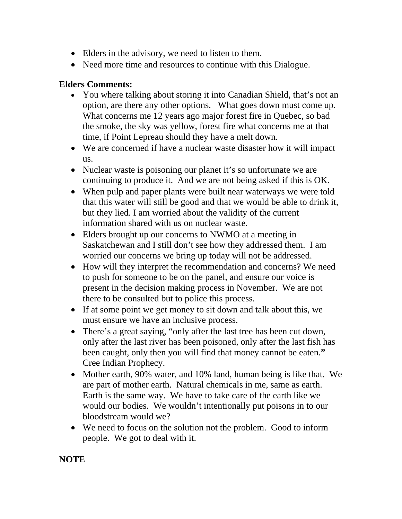- Elders in the advisory, we need to listen to them.
- Need more time and resources to continue with this Dialogue.

#### **Elders Comments:**

- You where talking about storing it into Canadian Shield, that's not an option, are there any other options. What goes down must come up. What concerns me 12 years ago major forest fire in Quebec, so bad the smoke, the sky was yellow, forest fire what concerns me at that time, if Point Lepreau should they have a melt down.
- We are concerned if have a nuclear waste disaster how it will impact us.
- Nuclear waste is poisoning our planet it's so unfortunate we are continuing to produce it. And we are not being asked if this is OK.
- When pulp and paper plants were built near waterways we were told that this water will still be good and that we would be able to drink it, but they lied. I am worried about the validity of the current information shared with us on nuclear waste.
- Elders brought up our concerns to NWMO at a meeting in Saskatchewan and I still don't see how they addressed them. I am worried our concerns we bring up today will not be addressed.
- How will they interpret the recommendation and concerns? We need to push for someone to be on the panel, and ensure our voice is present in the decision making process in November. We are not there to be consulted but to police this process.
- If at some point we get money to sit down and talk about this, we must ensure we have an inclusive process.
- There's a great saying, "only after the last tree has been cut down, only after the last river has been poisoned, only after the last fish has been caught, only then you will find that money cannot be eaten.**"**  Cree Indian Prophecy.
- Mother earth, 90% water, and 10% land, human being is like that. We are part of mother earth. Natural chemicals in me, same as earth. Earth is the same way. We have to take care of the earth like we would our bodies. We wouldn't intentionally put poisons in to our bloodstream would we?
- We need to focus on the solution not the problem. Good to inform people. We got to deal with it.

**NOTE**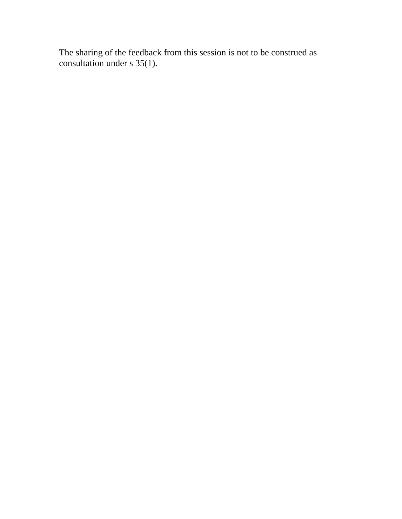The sharing of the feedback from this session is not to be construed as consultation under s 35(1).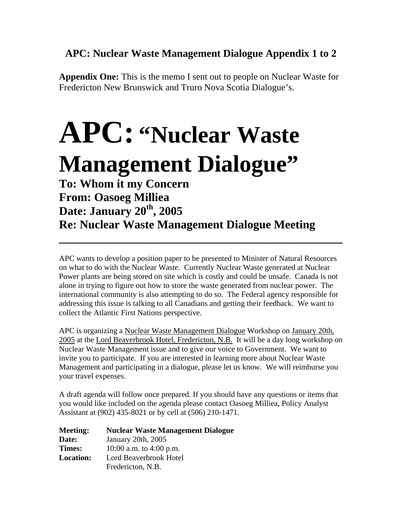### **APC: Nuclear Waste Management Dialogue Appendix 1 to 2**

**Appendix One:** This is the memo I sent out to people on Nuclear Waste for Fredericton New Brunswick and Truro Nova Scotia Dialogue's.

# **APC: "Nuclear Waste Management Dialogue" To: Whom it my Concern From: Oasoeg Milliea Date: January 20th, 2005 Re: Nuclear Waste Management Dialogue Meeting**

APC wants to develop a position paper to be presented to Minister of Natural Resources on what to do with the Nuclear Waste. Currently Nuclear Waste generated at Nuclear Power plants are being stored on site which is costly and could be unsafe. Canada is not alone in trying to figure out how to store the waste generated from nuclear power. The international community is also attempting to do so. The Federal agency responsible for addressing this issue is talking to all Canadians and getting their feedback. We want to collect the Atlantic First Nations perspective.

**\_\_\_\_\_\_\_\_\_\_\_\_\_\_\_\_\_\_\_\_\_\_\_\_\_\_\_\_\_\_\_\_\_\_\_\_\_\_\_\_\_\_\_\_\_\_\_\_** 

APC is organizing a Nuclear Waste Management Dialogue Workshop on January 20th, 2005 at the Lord Beaverbrook Hotel, Fredericton, N.B. It will be a day long workshop on Nuclear Waste Management issue and to give our voice to Government. We want to invite you to participate. If you are interested in learning more about Nuclear Waste Management and participating in a dialogue, please let us know. We will reimburse you your travel expenses.

A draft agenda will follow once prepared. If you should have any questions or items that you would like included on the agenda please contact Oasoeg Milliea, Policy Analyst Assistant at (902) 435-8021 or by cell at (506) 210-1471.

| <b>Meeting:</b>  | <b>Nuclear Waste Management Dialogue</b> |
|------------------|------------------------------------------|
| Date:            | January 20th, 2005                       |
| <b>Times:</b>    | 10:00 a.m. to 4:00 p.m.                  |
| <b>Location:</b> | Lord Beaverbrook Hotel                   |
|                  | Fredericton, N.B.                        |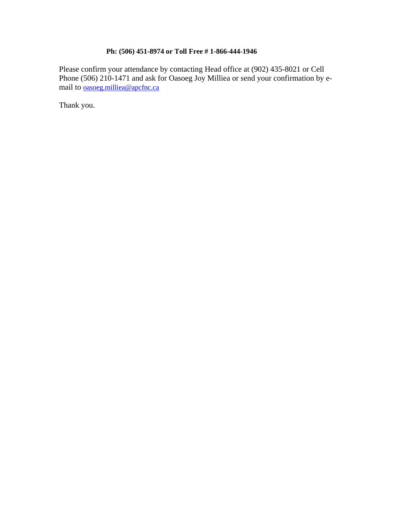#### **Ph: (506) 451-8974 or Toll Free # 1-866-444-1946**

Please confirm your attendance by contacting Head office at (902) 435-8021 or Cell Phone (506) 210-1471 and ask for Oasoeg Joy Milliea or send your confirmation by email to **oasoeg.milliea@apcfnc.ca** 

Thank you.